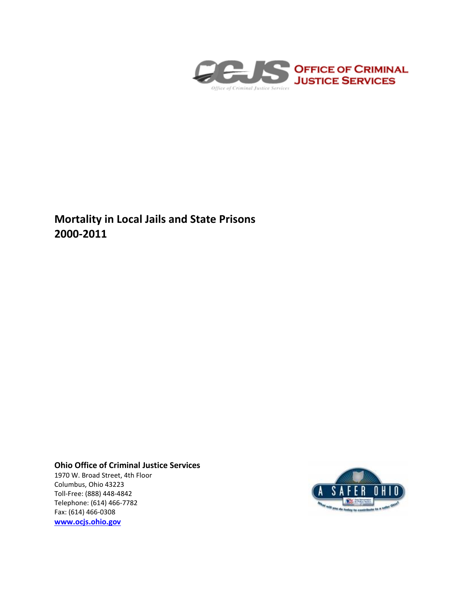

**Mortality in Local Jails and State Prisons 2000-2011**

## **Ohio Office of Criminal Justice Services**

1970 W. Broad Street, 4th Floor Columbus, Ohio 43223 Toll-Free: (888) 448-4842 Telephone: (614) 466-7782 Fax: (614) 466-0308 **[www.ocjs.ohio.gov](http://www.ocjs.ohio.gov/)**

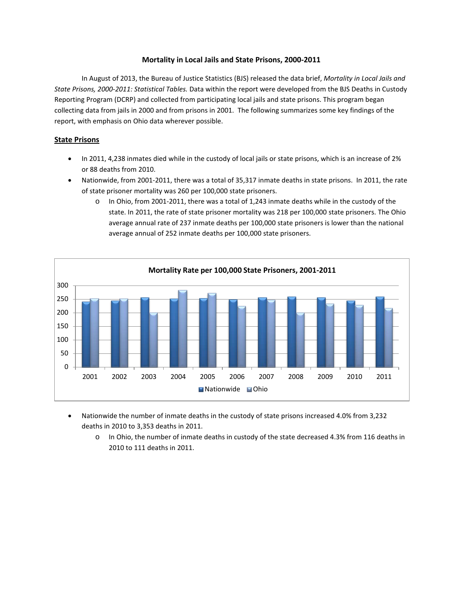## **Mortality in Local Jails and State Prisons, 2000-2011**

In August of 2013, the Bureau of Justice Statistics (BJS) released the data brief, *Mortality in Local Jails and State Prisons, 2000-2011: Statistical Tables.* Data within the report were developed from the BJS Deaths in Custody Reporting Program (DCRP) and collected from participating local jails and state prisons. This program began collecting data from jails in 2000 and from prisons in 2001. The following summarizes some key findings of the report, with emphasis on Ohio data wherever possible.

## **State Prisons**

- In 2011, 4,238 inmates died while in the custody of local jails or state prisons, which is an increase of 2% or 88 deaths from 2010.
- Nationwide, from 2001-2011, there was a total of 35,317 inmate deaths in state prisons. In 2011, the rate of state prisoner mortality was 260 per 100,000 state prisoners.
	- o In Ohio, from 2001-2011, there was a total of 1,243 inmate deaths while in the custody of the state. In 2011, the rate of state prisoner mortality was 218 per 100,000 state prisoners. The Ohio average annual rate of 237 inmate deaths per 100,000 state prisoners is lower than the national average annual of 252 inmate deaths per 100,000 state prisoners.



- Nationwide the number of inmate deaths in the custody of state prisons increased 4.0% from 3,232 deaths in 2010 to 3,353 deaths in 2011.
	- o In Ohio, the number of inmate deaths in custody of the state decreased 4.3% from 116 deaths in 2010 to 111 deaths in 2011.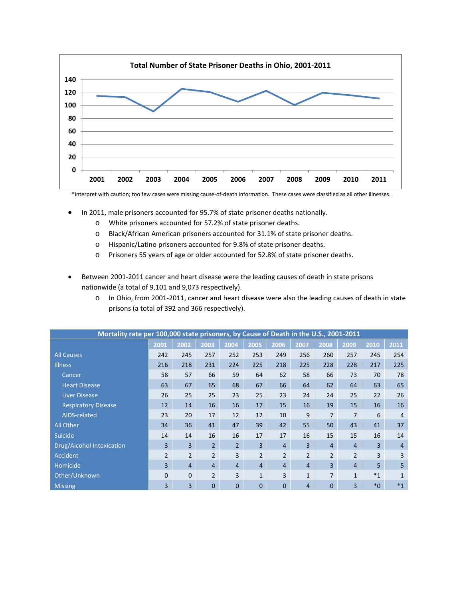

\*interpret with caution; too few cases were missing cause-of-death information. These cases were classified as all other illnesses.

- In 2011, male prisoners accounted for 95.7% of state prisoner deaths nationally.
	- o White prisoners accounted for 57.2% of state prisoner deaths.
	- o Black/African American prisoners accounted for 31.1% of state prisoner deaths.
	- o Hispanic/Latino prisoners accounted for 9.8% of state prisoner deaths.
	- o Prisoners 55 years of age or older accounted for 52.8% of state prisoner deaths.
- Between 2001-2011 cancer and heart disease were the leading causes of death in state prisons nationwide (a total of 9,101 and 9,073 respectively).
	- o In Ohio, from 2001-2011, cancer and heart disease were also the leading causes of death in state prisons (a total of 392 and 366 respectively).

| Mortality rate per 100,000 state prisoners, by Cause of Death in the U.S., 2001-2011 |                |                |                |                |                |                |                |                |                |         |                |
|--------------------------------------------------------------------------------------|----------------|----------------|----------------|----------------|----------------|----------------|----------------|----------------|----------------|---------|----------------|
|                                                                                      | 2001           | 2002           | 2003           | 2004           | 2005           | 2006           | 2007           | 2008           | 2009           | 2010    | 2011           |
| <b>All Causes</b>                                                                    | 242            | 245            | 257            | 252            | 253            | 249            | 256            | 260            | 257            | 245     | 254            |
| <b>Illness</b>                                                                       | 216            | 218            | 231            | 224            | 225            | 218            | 225            | 228            | 228            | 217     | 225            |
| Cancer                                                                               | 58             | 57             | 66             | 59             | 64             | 62             | 58             | 66             | 73             | 70      | 78             |
| <b>Heart Disease</b>                                                                 | 63             | 67             | 65             | 68             | 67             | 66             | 64             | 62             | 64             | 63      | 65             |
| Liver Disease                                                                        | 26             | 25             | 25             | 23             | 25             | 23             | 24             | 24             | 25             | 22      | 26             |
| <b>Respiratory Disease</b>                                                           | 12             | 14             | 16             | 16             | 17             | 15             | 16             | 19             | 15             | 16      | 16             |
| AIDS-related                                                                         | 23             | 20             | 17             | 12             | 12             | 10             | 9              | $\overline{7}$ | $\overline{7}$ | 6       | $\overline{4}$ |
| All Other                                                                            | 34             | 36             | 41             | 47             | 39             | 42             | 55             | 50             | 43             | 41      | 37             |
| <b>Suicide</b>                                                                       | 14             | 14             | 16             | 16             | 17             | 17             | 16             | 15             | 15             | 16      | 14             |
| <b>Drug/Alcohol Intoxication</b>                                                     | $\overline{3}$ | $\overline{3}$ | $\overline{2}$ | $\overline{2}$ | 3              | $\overline{4}$ | $\overline{3}$ | $\overline{4}$ | $\overline{4}$ | 3       | $\overline{4}$ |
| <b>Accident</b>                                                                      | $\overline{2}$ | $\overline{2}$ | $\overline{2}$ | 3              | $\overline{2}$ | $\overline{2}$ | $\overline{2}$ | $\overline{2}$ | $\overline{2}$ | 3       | 3              |
| Homicide                                                                             | $\overline{3}$ | $\overline{4}$ | $\overline{4}$ | $\overline{4}$ | $\overline{4}$ | $\overline{4}$ | $\overline{4}$ | 3              | $\overline{4}$ | 5       | 5              |
| Other/Unknown                                                                        | $\overline{0}$ | $\mathbf{0}$   | $\overline{2}$ | 3              | 1              | 3              | $\mathbf{1}$   | $\overline{7}$ | $\mathbf{1}$   | $*_{1}$ |                |
| <b>Missing</b>                                                                       | 3              | 3              | 0              | $\overline{0}$ | $\mathbf{0}$   | $\Omega$       | $\overline{4}$ | $\Omega$       | 3              | $*_{0}$ | $*_{1}$        |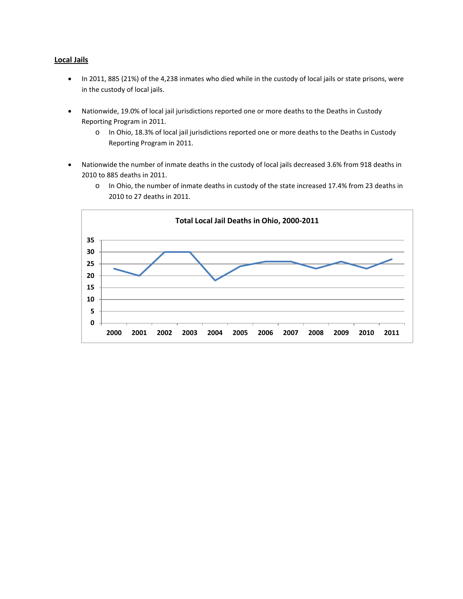## **Local Jails**

- In 2011, 885 (21%) of the 4,238 inmates who died while in the custody of local jails or state prisons, were in the custody of local jails.
- Nationwide, 19.0% of local jail jurisdictions reported one or more deaths to the Deaths in Custody Reporting Program in 2011.
	- o In Ohio, 18.3% of local jail jurisdictions reported one or more deaths to the Deaths in Custody Reporting Program in 2011.
- Nationwide the number of inmate deaths in the custody of local jails decreased 3.6% from 918 deaths in 2010 to 885 deaths in 2011.



o In Ohio, the number of inmate deaths in custody of the state increased 17.4% from 23 deaths in 2010 to 27 deaths in 2011.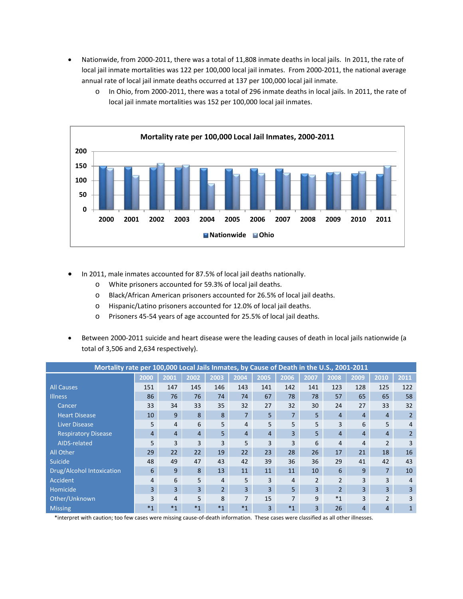• Nationwide, from 2000-2011, there was a total of 11,808 inmate deaths in local jails. In 2011, the rate of local jail inmate mortalities was 122 per 100,000 local jail inmates. From 2000-2011, the national average annual rate of local jail inmate deaths occurred at 137 per 100,000 local jail inmate.



o In Ohio, from 2000-2011, there was a total of 296 inmate deaths in local jails. In 2011, the rate of local jail inmate mortalities was 152 per 100,000 local jail inmates.

- In 2011, male inmates accounted for 87.5% of local jail deaths nationally.
	- o White prisoners accounted for 59.3% of local jail deaths.
	- o Black/African American prisoners accounted for 26.5% of local jail deaths.
	- o Hispanic/Latino prisoners accounted for 12.0% of local jail deaths.
	- o Prisoners 45-54 years of age accounted for 25.5% of local jail deaths.
- Between 2000-2011 suicide and heart disease were the leading causes of death in local jails nationwide (a total of 3,506 and 2,634 respectively).

| Mortality rate per 100,000 Local Jails Inmates, by Cause of Death in the U.S., 2001-2011 |                |                |         |                |                |                |                |                |                          |                |                |                |
|------------------------------------------------------------------------------------------|----------------|----------------|---------|----------------|----------------|----------------|----------------|----------------|--------------------------|----------------|----------------|----------------|
|                                                                                          | 2000           | 2001           | 2002    | 2003           | 2004           | 2005           | 2006           | 2007           | 2008                     | 2009           | 2010           | 2011           |
| <b>All Causes</b>                                                                        | 151            | 147            | 145     | 146            | 143            | 141            | 142            | 141            | 123                      | 128            | 125            | 122            |
| <b>Illness</b>                                                                           | 86             | 76             | 76      | 74             | 74             | 67             | 78             | 78             | 57                       | 65             | 65             | 58             |
| Cancer                                                                                   | 33             | 34             | 33      | 35             | 32             | 27             | 32             | 30             | 24                       | 27             | 33             | 32             |
| <b>Heart Disease</b>                                                                     | 10             | 9              | 8       | 8              | $\overline{7}$ | 5              | 7 <sup>1</sup> | 5 <sup>5</sup> | 4                        | $\overline{4}$ | 4              | $\overline{2}$ |
| <b>Liver Disease</b>                                                                     | 5              | 4              | 6       | 5              | 4              | 5              | 5              | 5              | 3                        | 6              | 5              | 4              |
| <b>Respiratory Disease</b>                                                               | $\overline{4}$ | $\overline{4}$ | 4       | 5 <sup>1</sup> | $\overline{4}$ | 4              | $\overline{3}$ | 5 <sup>1</sup> | 4                        | $\overline{4}$ | 4              | $\overline{2}$ |
| AIDS-related                                                                             | 5              | 3              | 3       | 3              | 5              | 3              | 3              | 6              | 4                        | 4              | $\overline{2}$ | 3              |
| <b>All Other</b>                                                                         | 29             | 22             | 22      | 19             | 22             | 23             | 28             | 26             | 17                       | 21             | 18             | 16             |
| Suicide                                                                                  | 48             | 49             | 47      | 43             | 42             | 39             | 36             | 36             | 29                       | 41             | 42             | 43             |
| Drug/Alcohol Intoxication                                                                | 6              | 9              | 8       | 13             | 11             | 11             | 11             | 10             | 6                        | 9              | $\overline{7}$ | 10             |
| <b>Accident</b>                                                                          | 4              | 6              | 5       | 4              | 5              | 3              | 4              | $\overline{2}$ | $\overline{\phantom{a}}$ | 3              | 3              | 4              |
| Homicide                                                                                 | 3              | $\overline{3}$ | 3       | 2 <sup>1</sup> | 3              | $\overline{3}$ | 5 <sup>1</sup> | $\overline{3}$ | $\overline{2}$           | 3              | 3              | 3              |
| Other/Unknown                                                                            | 3              | 4              | 5       | 8              | $\overline{7}$ | 15             | 7              | 9              | $*1$                     | 3              | $\overline{2}$ | 3              |
| <b>Missing</b>                                                                           | $*_{1}$        | $*_{1}$        | $*_{1}$ | $*1$           | $*_{1}$        | $\overline{3}$ | $*_{1}$        | 3              | 26                       | 4              | 4              | 1              |

\*interpret with caution; too few cases were missing cause-of-death information. These cases were classified as all other illnesses.